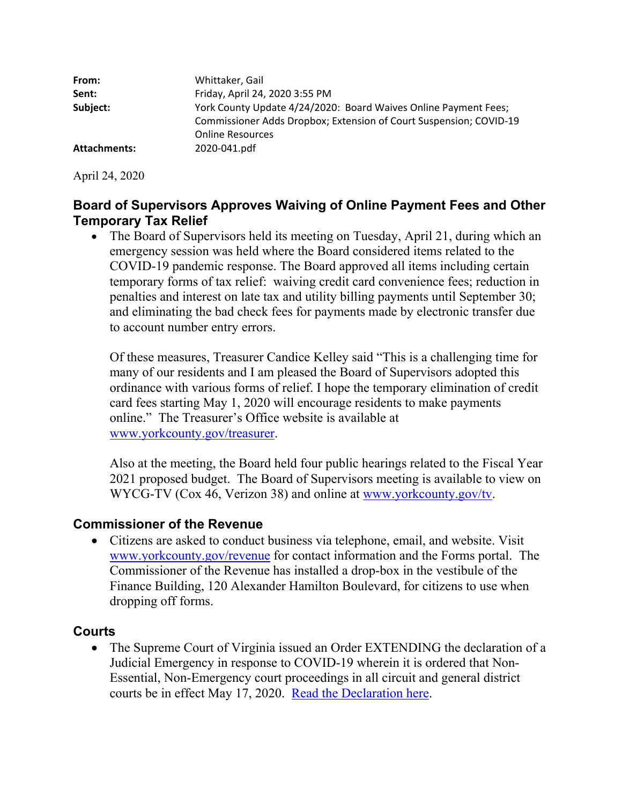| From:        | Whittaker, Gail                                                    |
|--------------|--------------------------------------------------------------------|
| Sent:        | Friday, April 24, 2020 3:55 PM                                     |
| Subject:     | York County Update 4/24/2020: Board Waives Online Payment Fees;    |
|              | Commissioner Adds Dropbox; Extension of Court Suspension; COVID-19 |
|              | <b>Online Resources</b>                                            |
| Attachments: | 2020-041.pdf                                                       |

April 24, 2020

# **Board of Supervisors Approves Waiving of Online Payment Fees and Other Temporary Tax Relief**

• The Board of Supervisors held its meeting on Tuesday, April 21, during which an emergency session was held where the Board considered items related to the COVID-19 pandemic response. The Board approved all items including certain temporary forms of tax relief: waiving credit card convenience fees; reduction in penalties and interest on late tax and utility billing payments until September 30; and eliminating the bad check fees for payments made by electronic transfer due to account number entry errors.

Of these measures, Treasurer Candice Kelley said "This is a challenging time for many of our residents and I am pleased the Board of Supervisors adopted this ordinance with various forms of relief. I hope the temporary elimination of credit card fees starting May 1, 2020 will encourage residents to make payments online." The Treasurer's Office website is available at www.yorkcounty.gov/treasurer.

Also at the meeting, the Board held four public hearings related to the Fiscal Year 2021 proposed budget. The Board of Supervisors meeting is available to view on WYCG-TV (Cox 46, Verizon 38) and online at www.yorkcounty.gov/tv.

### **Commissioner of the Revenue**

 Citizens are asked to conduct business via telephone, email, and website. Visit www.yorkcounty.gov/revenue for contact information and the Forms portal. The Commissioner of the Revenue has installed a drop-box in the vestibule of the Finance Building, 120 Alexander Hamilton Boulevard, for citizens to use when dropping off forms.

# **Courts**

• The Supreme Court of Virginia issued an Order EXTENDING the declaration of a Judicial Emergency in response to COVID-19 wherein it is ordered that Non-Essential, Non-Emergency court proceedings in all circuit and general district courts be in effect May 17, 2020. Read the Declaration here.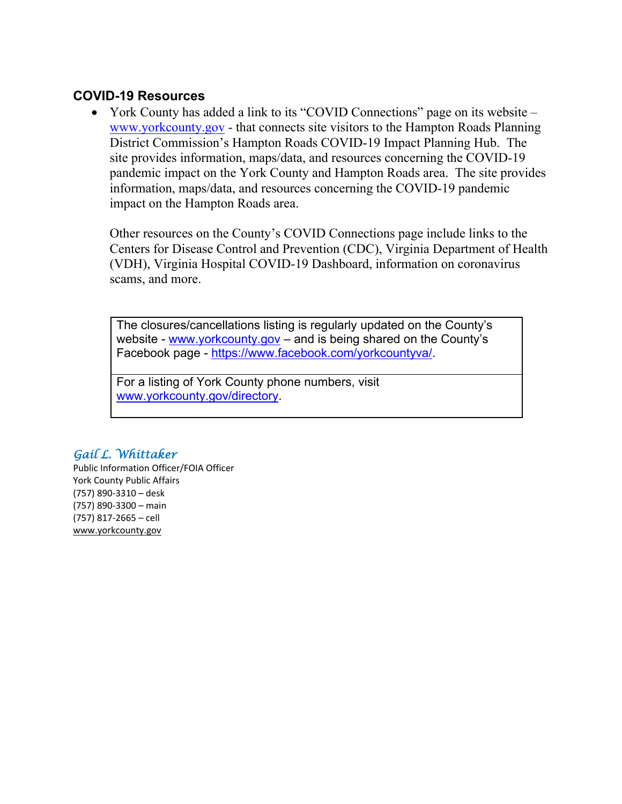## **COVID-19 Resources**

• York County has added a link to its "COVID Connections" page on its website – www.yorkcounty.gov - that connects site visitors to the Hampton Roads Planning District Commission's Hampton Roads COVID-19 Impact Planning Hub. The site provides information, maps/data, and resources concerning the COVID-19 pandemic impact on the York County and Hampton Roads area. The site provides information, maps/data, and resources concerning the COVID-19 pandemic impact on the Hampton Roads area.

Other resources on the County's COVID Connections page include links to the Centers for Disease Control and Prevention (CDC), Virginia Department of Health (VDH), Virginia Hospital COVID-19 Dashboard, information on coronavirus scams, and more.

The closures/cancellations listing is regularly updated on the County's website - www.yorkcounty.gov – and is being shared on the County's Facebook page - https://www.facebook.com/yorkcountyva/.

For a listing of York County phone numbers, visit www.yorkcounty.gov/directory.

### *Gail L. Whittaker*

Public Information Officer/FOIA Officer York County Public Affairs (757) 890‐3310 – desk (757) 890‐3300 – main (757) 817‐2665 – cell www.yorkcounty.gov